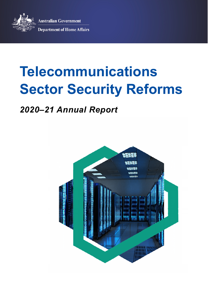

**Australian Government Department of Home Affairs** 

# **Telecommunications Sector Security Reforms**

# *2020–21 Annual Report*

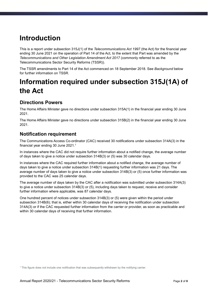# **Introduction**

This is a report under subsection 315J(1) of the *Telecommunications Act 1997* (the Act) for the financial year ending 30 June 2021 on the operation of Part 14 of the Act, to the extent that Part was amended by the *Telecommunications and Other Legislation Amendment Act 2017* (commonly referred to as the Telecommunications Sector Security Reforms (TSSR)).

The TSSR amendments to Part 14 of the Act commenced on 18 September 2018. See *Background* below for further information on TSSR.

# **Information required under subsection 315J(1A) of the Act**

# **Directions Powers**

The Home Affairs Minister gave no directions under subsection 315A(1) in the financial year ending 30 June 2021.

The Home Affairs Minister gave no directions under subsection 315B(2) in the financial year ending 30 June 2021.

# **Notification requirement**

The Communications Access Co-ordinator (CAC) received 30 notifications under subsection 314A(3) in the financial year ending 30 June 2021.<sup>1</sup>

In instances where the CAC did not require further information about a notified change, the average number of days taken to give a notice under subsection 314B(3) or (5) was 30 calendar days.

In instances where the CAC required further information about a notified change, the average number of days taken to give a notice under subsection 314B(1) requesting further information was 21 days. The average number of days taken to give a notice under subsection 314B(3) or (5) once further information was provided to the CAC was 25 calendar days.

The average number of days taken by the CAC after a notification was submitted under subsection 314A(3) to give a notice under subsection 314B(3) or (5), including days taken to request, receive and consider further information where applicable, was 87 calendar days.

One hundred percent of notices under subsection 314B(3) or (5) were given within the period under subsection 314B(6); that is, either within 30 calendar days of receiving the notification under subsection 314A(3) or if the CAC requested further information from the carrier or provider, as soon as practicable and within 30 calendar days of receiving that further information.

<sup>&</sup>lt;sup>1</sup> This figure does not include one notification that was subsequently withdrawn by the notifying carrier.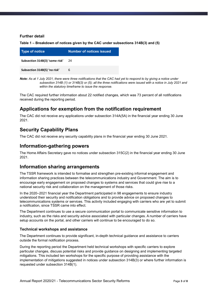#### **Further detail**

**Table 1 – Breakdown of notices given by the CAC under subsections 314B(3) and (5)**

| Type of notice                 | Number of notices issued |
|--------------------------------|--------------------------|
| Subsection 314B(3) 'some risk' | 24                       |
| Subsection 314B(5) 'no risk'   | 6                        |

*Note: As at 1 July 2021, there were three notifications that the CAC had yet to respond to by giving a notice under subsection 314B (1) or 314B(3) or (5); all the three notifications were issued with a notice in July 2021 and within the statutory timeframe to issue the response.* 

The CAC required further information about 22 notified changes, which was 73 percent of all notifications received during the reporting period.

# **Applications for exemption from the notification requirement**

The CAC did not receive any applications under subsection 314A(5A) in the financial year ending 30 June 2021.

# **Security Capability Plans**

The CAC did not receive any security capability plans in the financial year ending 30 June 2021.

### **Information-gathering powers**

The Home Affairs Secretary gave no notices under subsection 315C(2) in the financial year ending 30 June 2021.

### **Information sharing arrangements**

The TSSR framework is intended to formalise and strengthen pre-existing informal engagement and information sharing practices between the telecommunications industry and Government. The aim is to encourage early engagement on proposed changes to systems and services that could give rise to a national security risk and collaboration on the management of those risks.

In the 2020–2021 financial year the Department participated in 98 engagements to ensure industry understood their security and notification obligations and to provide advice on proposed changes to telecommunications systems or services. This activity included engaging with carriers who are yet to submit a notification, since TSSR came into effect.

The Department continues to use a secure communication portal to communicate sensitive information to industry, such as the risks and security advice associated with particular changes. A number of carriers have setup accounts on the portal, and other carriers will continue to be encouraged to do so.

#### **Technical workshops and assistance**

The Department continues to provide significant, in-depth technical guidance and assistance to carriers outside the formal notification process.

During the reporting period the Department held technical workshops with specific carriers to explore particular changes, discuss potential risks and provide guidance on designing and implementing targeted mitigations. This included ten workshops for the specific purpose of providing assistance with the implementation of mitigations suggested in notices under subsection 314B(3) or where further information is requested under subsection 314B(1).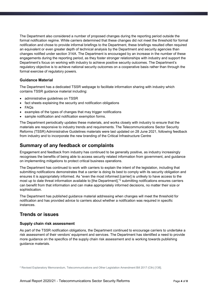The Department also considered a number of proposed changes during the reporting period outside the formal notification regime. While carriers determined that these changes did not meet the threshold for formal notification and chose to provide informal briefings to the Department, these briefings resulted often required an equivalent or even greater depth of technical analysis by the Department and security agencies than changes notified under section 314A. The Department is encouraged by an increase in the number of these engagements during the reporting period, as they foster stronger relationships with industry and support the Department's focus on working with industry to achieve positive security outcomes. The Department's regulatory objective is to achieve national security outcomes on a cooperative basis rather than through the formal exercise of regulatory powers.

#### **Guidance Material**

The Department has a dedicated TSSR webpage to facilitate information sharing with industry which contains TSSR guidance material including:

- administrative quidelines on TSSR
- fact sheets explaining the security and notification obligations
- FAQs
- examples of the types of changes that may trigger notifications
- sample notification and notification exemption forms.

The Department periodically updates these materials, and works closely with industry to ensure that the materials are responsive to industry trends and requirements. The Telecommunications Sector Security Reforms (TSSR) Administrative Guidelines materials were last updated on 28 June 2021, following feedback from industry and to incorporate the new branding of the Critical Infrastructure Centre

### **Summary of any feedback or complaints**

Engagement and feedback from industry has continued to be generally positive, as industry increasingly recognises the benefits of being able to access security related information from government, and guidance on implementing mitigations to protect critical business operations.

The Department has continued to work with carriers to explain the intent of the legislation, including that submitting notifications demonstrates that a carrier is doing its best to comply with its security obligation and ensures it is appropriately informed. As "even the most informed [carrier] is unlikely to have access to the most up to date threat information available to [the Department],"<sup>2</sup> submitting notifications ensures carriers can benefit from that information and can make appropriately informed decisions, no matter their size or sophistication.

The Department has published guidance material addressing when changes will meet the threshold for notification and has provided advice to carriers about whether a notification was required in specific instances.

### **Trends or issues**

#### **Supply chain risk assessment**

As part of the TSSR notification obligations, the Department continued to encourage carriers to undertake a risk assessment of their vendors' equipment and services. The Department has identified a need to provide more guidance on the specifics of the supply chain risk assessment and is working towards publishing guidance materials.

<sup>&</sup>lt;sup>2</sup> Revised Explanatory Memorandum, Telecommunications and Other Legislation Amendment Bill 2017 (Cth) [138].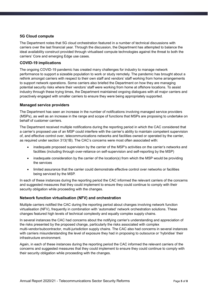#### **5G Cloud compute**

The Department notes that 5G cloud orchestration featured in a number of technical discussions with carriers over the last financial year. Through the discussion, the Department has attempted to balance the ideal availability construct provided through virtualised compute technologies against the threat to both the carriers' Core and emerging Edge use cases.

#### **COVID-19 implications**

The ongoing COVID-19 pandemic has created many challenges for industry to manage network performance to support a sizeable population to work or study remotely. The pandemic has brought about a rethink amongst carriers with respect to their own staff and vendors' staff working from home arrangements to support network operations. Some carriers also briefed the Department on how they are managing potential security risks where their vendors' staff were working from home at offshore locations. To assist industry through these trying times, the Department maintained ongoing dialogues with all major carriers and proactively engaged with smaller carriers to ensure they were being appropriately supported.

#### **Managed service providers**

The Department has seen an increase in the number of notifications involving managed service providers (MSPs), as well as an increase in the range and scope of functions that MSPs are proposing to undertake on behalf of customer carriers.

The Department received multiple notifications during the reporting period in which the CAC considered that a carrier's proposed use of an MSP could interfere with the carrier's ability to maintain competent supervision of, and effective control over, telecommunications networks and facilities owned or operated by the carrier, as required under section 313(1B). The CAC's concerns were most often associated with:

- inadequate proposed supervision by the carrier of the MSP's activities on the carrier's networks and facilities (including through over-reliance on self-supervision and self-reporting by the MSP)
- inadequate consideration by the carrier of the location(s) from which the MSP would be providing the services
- limited assurance that the carrier could demonstrate effective control over networks or facilities being serviced by the MSP.

In each of these instances during the reporting period the CAC informed the relevant carriers of the concerns and suggested measures that they could implement to ensure they could continue to comply with their security obligation while proceeding with the changes.

#### **Network function virtualisation (NFV) and orchestration**

Multiple carriers notified the CAC during the reporting period about changes involving network function virtualisation (NFV), frequently in combination with 'automated' network orchestration solutions. These changes featured high levels of technical complexity and equally complex supply chains.

In several instances the CAC had concerns about the notifying carrier's understanding and appreciation of the risks presented by the proposed change, particularly the risks associated with complex multi-vendor/subcontractor, multi-jurisdiction supply chains. The CAC also had concerns in several instances with carriers misunderstanding the level of exposure they had in proposing to outsource or 'hybridise' their infrastructure environment.

Again, in each of these instances during the reporting period the CAC informed the relevant carriers of the concerns and suggested measures that they could implement to ensure they could continue to comply with their security obligation while proceeding with the changes.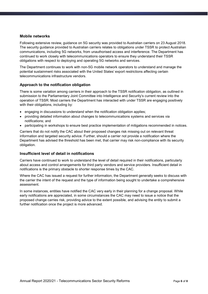#### **Mobile networks**

Following extensive review, guidance on 5G security was provided to Australian carriers on 23 August 2018. The security guidance provided to Australian carriers relates to obligations under TSSR to protect Australian communications, including 5G networks, from unauthorised access and interference. The Department has continued to work closely with telecommunications operators to ensure they understand their TSSR obligations with respect to deploying and operating 5G networks and services.

The Department continues to work with non-5G mobile network operators to understand and manage the potential sustainment risks associated with the United States' export restrictions affecting certain telecommunications infrastructure vendors.

#### **Approach to the notification obligation**

There is some variation among carriers in their approach to the TSSR notification obligation, as outlined in submission to the Parliamentary Joint Committee into Intelligence and Security's current review into the operation of TSSR. Most carriers the Department has interacted with under TSSR are engaging positively with their obligations, including by:

- engaging in discussions to understand when the notification obligation applies;
- providing detailed information about changes to telecommunications systems and services via notifications; and
- participating in workshops to ensure best practice implementation of mitigations recommended in notices.

Carriers that do not notify the CAC about their proposed changes risk missing out on relevant threat information and targeted security advice. Further, should a carrier not provide a notification where the Department has advised the threshold has been met, that carrier may risk non-compliance with its security obligation.

#### **Insufficient level of detail in notifications**

Carriers have continued to work to understand the level of detail required in their notifications, particularly about access and control arrangements for third party vendors and service providers. Insufficient detail in notifications is the primary obstacle to shorter response times by the CAC.

Where the CAC has issued a request for further information, the Department generally seeks to discuss with the carrier the intent of the request and the type of information being sought to undertake a comprehensive assessment.

In some instances, entities have notified the CAC very early in their planning for a change proposal. While early notifications are appreciated, in some circumstances the CAC may need to issue a notice that the proposed change carries risk, providing advice to the extent possible, and advising the entity to submit a further notification once the project is more advanced.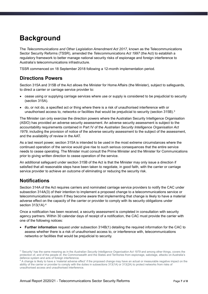# **Background**

The *Telecommunications and Other Legislation Amendment Act 2017*, known as the Telecommunications Sector Security Reforms (TSSR), amended the *Telecommunications Act 1997* (the Act) to establish a regulatory framework to better manage national security risks of espionage and foreign interference to Australia's telecommunications infrastructure.

TSSR commenced on 18 September 2018 following a 12-month implementation period.

# **Directions Powers**

Section 315A and 315B of the Act allows the Minister for Home Affairs (the Minister), subject to safeguards, to direct a carrier or carriage service provider to:

- cease using or supplying carriage services where use or supply is considered to be prejudicial to security (section 315A).
- do, or not do, a specified act or thing where there is a risk of unauthorised interference with or unauthorised access to, networks or facilities that would be prejudicial to security (section 315B).<sup>3</sup>

The Minister can only exercise the direction powers where the Australian Security Intelligence Organisation (ASIO) has provided an adverse security assessment. An adverse security assessment is subject to the accountability requirements contained in Part IV of the *Australian Security Intelligence Organisation Act 1979*, including the provision of notice of the adverse security assessment to the subject of the assessment, and the availability of review in the AAT.

As a last resort power, section 315A is intended to be used in the most extreme circumstances where the continued operation of the service would give rise to such serious consequences that the entire service needs to cease operating. The Minister must consult the Prime Minister and the Minister for Communications prior to giving written direction to cease operation of the service.

An additional safeguard under section 315B of the Act is that the Minister may only issue a direction if satisfied that all reasonable steps have been taken to negotiate, in good faith, with the carrier or carriage service provider to achieve an outcome of eliminating or reducing the security risk.

# **Notifications**

Section 314A of the Act requires carriers and nominated carriage service providers to notify the CAC under subsection 314A(3) of their intention to implement a proposed change to a telecommunications service or telecommunications system if they become aware that implementing that change is likely to have a material adverse effect on the capacity of the carrier or provider to comply with its security obligations under section 313(1A).<sup>4</sup>

Once a notification has been received, a security assessment is completed in consultation with security agency partners. Within 30 calendar days of receipt of a notification, the CAC must provide the carrier with one of the following notices:

 **Further information** request under subsection 314B(1) detailing the required information for the CAC to assess whether there is a risk of unauthorised access to, or interference with, telecommunications networks or facilities that would be prejudicial to security.

<sup>&</sup>lt;sup>3</sup> 'Security' has the same meaning as in the Australian Security Intelligence Organisation Act 1979 and among other things, covers the protection of, and of the people of, the Commonwealth and the States and Territories from espionage, sabotage, attacks on Australia's defence system and acts of foreign interference.

<sup>4</sup> A change is likely to have a 'material adverse effect' if the proposed change may have an actual or measurable negative impact on the ability of the carrier or provider to comply with the duties in subsections 313(1A) or 313(2A) to protect networks from risks of unauthorised access and unauthorised interference.